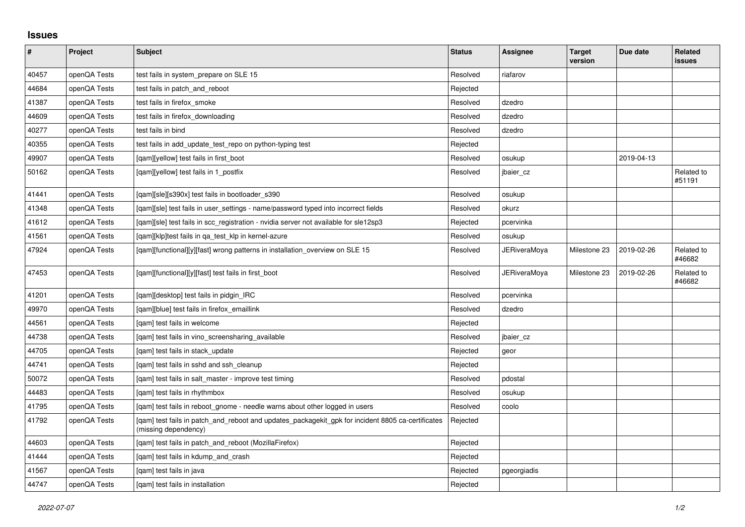## **Issues**

| #     | Project      | Subject                                                                                                                   | <b>Status</b> | Assignee            | <b>Target</b><br>version | Due date   | <b>Related</b><br><b>issues</b> |
|-------|--------------|---------------------------------------------------------------------------------------------------------------------------|---------------|---------------------|--------------------------|------------|---------------------------------|
| 40457 | openQA Tests | test fails in system prepare on SLE 15                                                                                    | Resolved      | riafarov            |                          |            |                                 |
| 44684 | openQA Tests | test fails in patch and reboot                                                                                            | Rejected      |                     |                          |            |                                 |
| 41387 | openQA Tests | test fails in firefox_smoke                                                                                               | Resolved      | dzedro              |                          |            |                                 |
| 44609 | openQA Tests | test fails in firefox downloading                                                                                         | Resolved      | dzedro              |                          |            |                                 |
| 40277 | openQA Tests | test fails in bind                                                                                                        | Resolved      | dzedro              |                          |            |                                 |
| 40355 | openQA Tests | test fails in add update test repo on python-typing test                                                                  | Rejected      |                     |                          |            |                                 |
| 49907 | openQA Tests | [qam][yellow] test fails in first_boot                                                                                    | Resolved      | osukup              |                          | 2019-04-13 |                                 |
| 50162 | openQA Tests | [gam][yellow] test fails in 1 postfix                                                                                     | Resolved      | jbaier_cz           |                          |            | Related to<br>#51191            |
| 41441 | openQA Tests | [gam][sle][s390x] test fails in bootloader s390                                                                           | Resolved      | osukup              |                          |            |                                 |
| 41348 | openQA Tests | [gam][sle] test fails in user settings - name/password typed into incorrect fields                                        | Resolved      | okurz               |                          |            |                                 |
| 41612 | openQA Tests | [qam][sle] test fails in scc_registration - nvidia server not available for sle12sp3                                      | Rejected      | pcervinka           |                          |            |                                 |
| 41561 | openQA Tests | [qam][klp]test fails in qa_test_klp in kernel-azure                                                                       | Resolved      | osukup              |                          |            |                                 |
| 47924 | openQA Tests | [gam][functional][y][fast] wrong patterns in installation overview on SLE 15                                              | Resolved      | <b>JERiveraMoya</b> | Milestone 23             | 2019-02-26 | Related to<br>#46682            |
| 47453 | openQA Tests | [qam][functional][y][fast] test fails in first_boot                                                                       | Resolved      | JERiveraMoya        | Milestone 23             | 2019-02-26 | Related to<br>#46682            |
| 41201 | openQA Tests | [qam][desktop] test fails in pidgin_IRC                                                                                   | Resolved      | pcervinka           |                          |            |                                 |
| 49970 | openQA Tests | [qam][blue] test fails in firefox_emaillink                                                                               | Resolved      | dzedro              |                          |            |                                 |
| 44561 | openQA Tests | [qam] test fails in welcome                                                                                               | Rejected      |                     |                          |            |                                 |
| 44738 | openQA Tests | [qam] test fails in vino_screensharing_available                                                                          | Resolved      | jbaier_cz           |                          |            |                                 |
| 44705 | openQA Tests | [gam] test fails in stack update                                                                                          | Rejected      | geor                |                          |            |                                 |
| 44741 | openQA Tests | [gam] test fails in sshd and ssh cleanup                                                                                  | Rejected      |                     |                          |            |                                 |
| 50072 | openQA Tests | [gam] test fails in salt master - improve test timing                                                                     | Resolved      | pdostal             |                          |            |                                 |
| 44483 | openQA Tests | [gam] test fails in rhythmbox                                                                                             | Resolved      | osukup              |                          |            |                                 |
| 41795 | openQA Tests | [gam] test fails in reboot gnome - needle warns about other logged in users                                               | Resolved      | coolo               |                          |            |                                 |
| 41792 | openQA Tests | [qam] test fails in patch_and_reboot and updates_packagekit_gpk for incident 8805 ca-certificates<br>(missing dependency) | Rejected      |                     |                          |            |                                 |
| 44603 | openQA Tests | [gam] test fails in patch and reboot (MozillaFirefox)                                                                     | Rejected      |                     |                          |            |                                 |
| 41444 | openQA Tests | [qam] test fails in kdump_and_crash                                                                                       | Rejected      |                     |                          |            |                                 |
| 41567 | openQA Tests | [gam] test fails in java                                                                                                  | Rejected      | pgeorgiadis         |                          |            |                                 |
| 44747 | openQA Tests | [qam] test fails in installation                                                                                          | Rejected      |                     |                          |            |                                 |